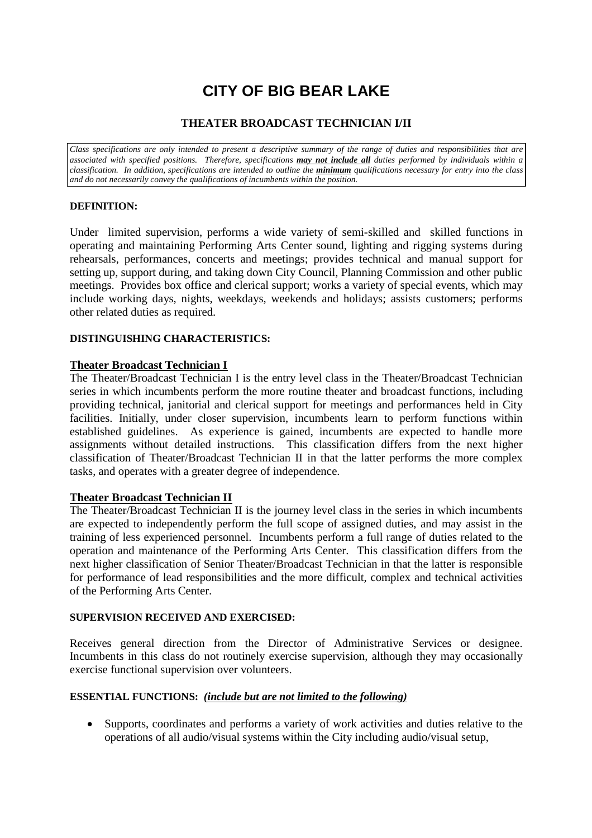# **CITY OF BIG BEAR LAKE**

## **THEATER BROADCAST TECHNICIAN I/II**

*Class specifications are only intended to present a descriptive summary of the range of duties and responsibilities that are associated with specified positions. Therefore, specifications may not include all duties performed by individuals within a classification. In addition, specifications are intended to outline the minimum qualifications necessary for entry into the class and do not necessarily convey the qualifications of incumbents within the position.*

#### **DEFINITION:**

Under limited supervision, performs a wide variety of semi-skilled and skilled functions in operating and maintaining Performing Arts Center sound, lighting and rigging systems during rehearsals, performances, concerts and meetings; provides technical and manual support for setting up, support during, and taking down City Council, Planning Commission and other public meetings. Provides box office and clerical support; works a variety of special events, which may include working days, nights, weekdays, weekends and holidays; assists customers; performs other related duties as required.

#### **DISTINGUISHING CHARACTERISTICS:**

#### **Theater Broadcast Technician I**

The Theater/Broadcast Technician I is the entry level class in the Theater/Broadcast Technician series in which incumbents perform the more routine theater and broadcast functions, including providing technical, janitorial and clerical support for meetings and performances held in City facilities. Initially, under closer supervision, incumbents learn to perform functions within established guidelines. As experience is gained, incumbents are expected to handle more assignments without detailed instructions. This classification differs from the next higher classification of Theater/Broadcast Technician II in that the latter performs the more complex tasks, and operates with a greater degree of independence.

#### **Theater Broadcast Technician II**

The Theater/Broadcast Technician II is the journey level class in the series in which incumbents are expected to independently perform the full scope of assigned duties, and may assist in the training of less experienced personnel. Incumbents perform a full range of duties related to the operation and maintenance of the Performing Arts Center. This classification differs from the next higher classification of Senior Theater/Broadcast Technician in that the latter is responsible for performance of lead responsibilities and the more difficult, complex and technical activities of the Performing Arts Center.

#### **SUPERVISION RECEIVED AND EXERCISED:**

Receives general direction from the Director of Administrative Services or designee. Incumbents in this class do not routinely exercise supervision, although they may occasionally exercise functional supervision over volunteers.

#### **ESSENTIAL FUNCTIONS:** *(include but are not limited to the following)*

 Supports, coordinates and performs a variety of work activities and duties relative to the operations of all audio/visual systems within the City including audio/visual setup,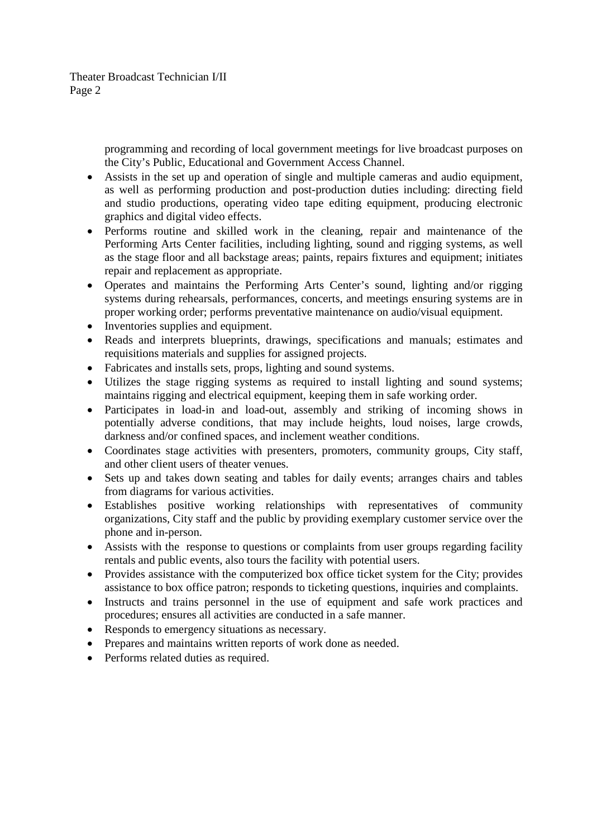Theater Broadcast Technician I/II Page 2

> programming and recording of local government meetings for live broadcast purposes on the City's Public, Educational and Government Access Channel.

- Assists in the set up and operation of single and multiple cameras and audio equipment, as well as performing production and post-production duties including: directing field and studio productions, operating video tape editing equipment, producing electronic graphics and digital video effects.
- Performs routine and skilled work in the cleaning, repair and maintenance of the Performing Arts Center facilities, including lighting, sound and rigging systems, as well as the stage floor and all backstage areas; paints, repairs fixtures and equipment; initiates repair and replacement as appropriate.
- Operates and maintains the Performing Arts Center's sound, lighting and/or rigging systems during rehearsals, performances, concerts, and meetings ensuring systems are in proper working order; performs preventative maintenance on audio/visual equipment.
- Inventories supplies and equipment.
- Reads and interprets blueprints, drawings, specifications and manuals; estimates and requisitions materials and supplies for assigned projects.
- Fabricates and installs sets, props, lighting and sound systems.
- Utilizes the stage rigging systems as required to install lighting and sound systems; maintains rigging and electrical equipment, keeping them in safe working order.
- Participates in load-in and load-out, assembly and striking of incoming shows in potentially adverse conditions, that may include heights, loud noises, large crowds, darkness and/or confined spaces, and inclement weather conditions.
- Coordinates stage activities with presenters, promoters, community groups, City staff, and other client users of theater venues.
- Sets up and takes down seating and tables for daily events; arranges chairs and tables from diagrams for various activities.
- Establishes positive working relationships with representatives of community organizations, City staff and the public by providing exemplary customer service over the phone and in-person.
- Assists with the response to questions or complaints from user groups regarding facility rentals and public events, also tours the facility with potential users.
- Provides assistance with the computerized box office ticket system for the City; provides assistance to box office patron; responds to ticketing questions, inquiries and complaints.
- Instructs and trains personnel in the use of equipment and safe work practices and procedures; ensures all activities are conducted in a safe manner.
- Responds to emergency situations as necessary.
- Prepares and maintains written reports of work done as needed.
- Performs related duties as required.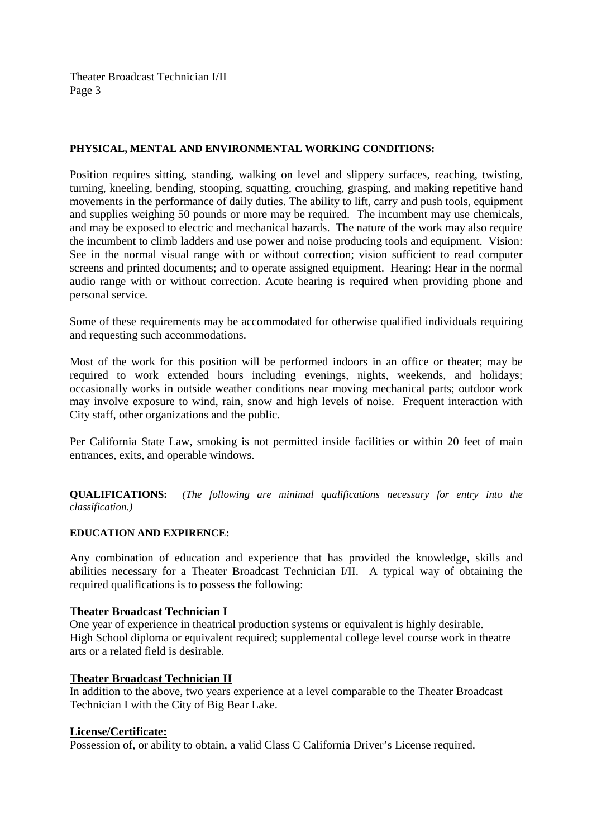Theater Broadcast Technician I/II Page 3

#### **PHYSICAL, MENTAL AND ENVIRONMENTAL WORKING CONDITIONS:**

Position requires sitting, standing, walking on level and slippery surfaces, reaching, twisting, turning, kneeling, bending, stooping, squatting, crouching, grasping, and making repetitive hand movements in the performance of daily duties. The ability to lift, carry and push tools, equipment and supplies weighing 50 pounds or more may be required. The incumbent may use chemicals, and may be exposed to electric and mechanical hazards. The nature of the work may also require the incumbent to climb ladders and use power and noise producing tools and equipment. Vision: See in the normal visual range with or without correction; vision sufficient to read computer screens and printed documents; and to operate assigned equipment. Hearing: Hear in the normal audio range with or without correction. Acute hearing is required when providing phone and personal service.

Some of these requirements may be accommodated for otherwise qualified individuals requiring and requesting such accommodations.

Most of the work for this position will be performed indoors in an office or theater; may be required to work extended hours including evenings, nights, weekends, and holidays; occasionally works in outside weather conditions near moving mechanical parts; outdoor work may involve exposure to wind, rain, snow and high levels of noise. Frequent interaction with City staff, other organizations and the public.

Per California State Law, smoking is not permitted inside facilities or within 20 feet of main entrances, exits, and operable windows.

**QUALIFICATIONS:** *(The following are minimal qualifications necessary for entry into the classification.)*

#### **EDUCATION AND EXPIRENCE:**

Any combination of education and experience that has provided the knowledge, skills and abilities necessary for a Theater Broadcast Technician I/II. A typical way of obtaining the required qualifications is to possess the following:

#### **Theater Broadcast Technician I**

One year of experience in theatrical production systems or equivalent is highly desirable. High School diploma or equivalent required; supplemental college level course work in theatre arts or a related field is desirable.

#### **Theater Broadcast Technician II**

In addition to the above, two years experience at a level comparable to the Theater Broadcast Technician I with the City of Big Bear Lake.

#### **License/Certificate:**

Possession of, or ability to obtain, a valid Class C California Driver's License required.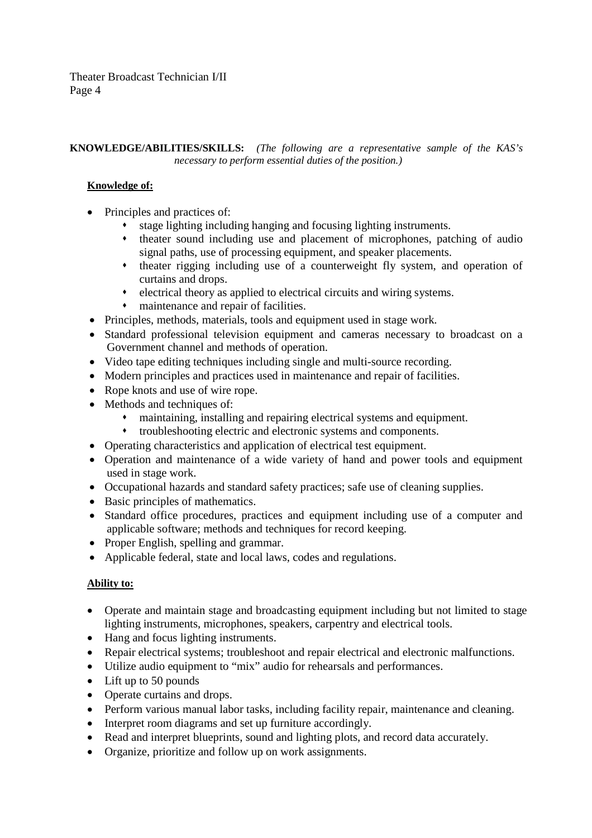## **KNOWLEDGE/ABILITIES/SKILLS:** *(The following are a representative sample of the KAS's necessary to perform essential duties of the position.)*

# **Knowledge of:**

- Principles and practices of:
	- stage lighting including hanging and focusing lighting instruments.
	- theater sound including use and placement of microphones, patching of audio signal paths, use of processing equipment, and speaker placements.
	- theater rigging including use of a counterweight fly system, and operation of curtains and drops.
	- electrical theory as applied to electrical circuits and wiring systems.
	- maintenance and repair of facilities.
- Principles, methods, materials, tools and equipment used in stage work.
- Standard professional television equipment and cameras necessary to broadcast on a Government channel and methods of operation.
- Video tape editing techniques including single and multi-source recording.
- Modern principles and practices used in maintenance and repair of facilities.
- Rope knots and use of wire rope.
- Methods and techniques of:
	- maintaining, installing and repairing electrical systems and equipment.
	- troubleshooting electric and electronic systems and components.
- Operating characteristics and application of electrical test equipment.
- Operation and maintenance of a wide variety of hand and power tools and equipment used in stage work.
- Occupational hazards and standard safety practices; safe use of cleaning supplies.
- Basic principles of mathematics.
- Standard office procedures, practices and equipment including use of a computer and applicable software; methods and techniques for record keeping.
- Proper English, spelling and grammar.
- Applicable federal, state and local laws, codes and regulations.

## **Ability to:**

- Operate and maintain stage and broadcasting equipment including but not limited to stage lighting instruments, microphones, speakers, carpentry and electrical tools.
- Hang and focus lighting instruments.
- Repair electrical systems; troubleshoot and repair electrical and electronic malfunctions.
- Utilize audio equipment to "mix" audio for rehearsals and performances.
- Lift up to 50 pounds
- Operate curtains and drops.
- Perform various manual labor tasks, including facility repair, maintenance and cleaning.
- Interpret room diagrams and set up furniture accordingly.
- Read and interpret blueprints, sound and lighting plots, and record data accurately.
- Organize, prioritize and follow up on work assignments.